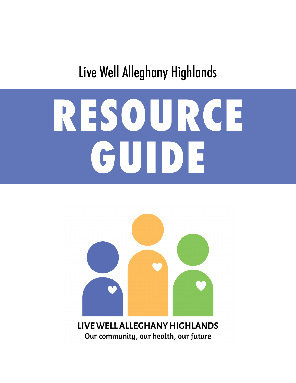## Live Well Alleghany Highlands

# **RESOURCE GUIDE**



**LIVE WELL ALLEGHANY HIGHLANDS** Our community, our health, our future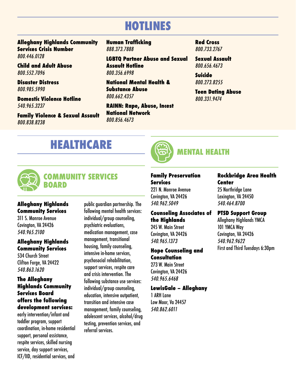## **HOTLINES**

**Alleghany Highlands Community Services Crisis Number** 800.446.0128

**Child and Adult Abuse** 800.552.7096

**Disaster Distress** 800.985.5990

**Domestic Violence Hotline** 540.965.3237

**Family Violence & Sexual Assault** 800.838.8238

**Human Trafficking** 888.373.7888

**LGBTQ Partner Abuse and Sexual Assault Hotline** 800.356.6998

**National Mental Health & Substance Abuse** 800.662.4357

**RAINN: Rape, Abuse, Incest National Network** 800.856.4673

**Red Cross** 800.733.2767

**Sexual Assault** 800.656.4673

**Suicide**  800.273.8255

**Teen Dating Abuse** 800.331.9474

## **HEALTHCARE**



## **MENTAL HEALTH**



#### **COMMUNITY SERVICES BOARD**

#### **Alleghany Highlands Community Services**

311 S. Monroe Avenue Covington, VA 24426 540.965.2100

#### **Alleghany Highlands Community Services**

534 Church Street Clifton Forge, VA 24422 540.863.1620

#### **The Alleghany Highlands Community Services Board offers the following development services:**

early intervention/infant and toddler program, support coordination, in-home residential support, personal assistance, respite services, skilled nursing service, day support services, ICF/IID, residential services, and

public guardian partnership. The following mental health services: individual/group counseling, psychiatric evaluations, medication management, case management, transitional housing, family counseling, intensive in-home services, psychosocial rehabilitation, support services, respite care and crisis intervention. The following substance use services: individual/group counseling, education, intensive outpatient, transition and intensive case management, family counseling, adolescent services, alcohol/drug testing, prevention services, and referral services.



221 N. Monroe Avenue Covington, VA 24426 540.962.5049

#### **Counseling Associates of the Highlands**

245 W. Main Street Covington, VA 24426 540.965.1373

#### **Hope Counseling and Consultation**

273 W. Main Street Covington, VA 24426 540.965.6468

#### **LewisGale – Alleghany**

1 ARH Lane Low Moor, Va 24457 540.862.6011

#### **Rockbridge Area Health Center**

25 Northridge Lane Lexington, VA 24450 540.464.8700

#### **PTSD Support Group**

Alleghany Highlands YMCA 101 YMCA Way Covington, VA 24426 540.962.9622 First and Third Tuesdays 6:30pm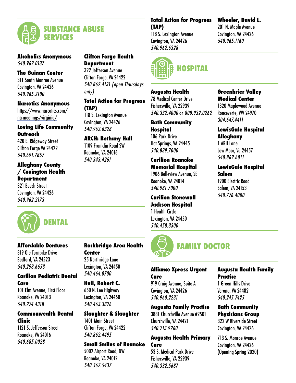

#### **Alcoholics Anonymous**

540.962.0137

#### **The Guinan Center**

311 South Monroe Avenue Covington, VA 24426 540.965.2100

#### **Narcotics Anonymous**

[https://www.narcotics.com/](https://www.narcotics.com/na-meetings/virginia/) [na-meetings/virginia/](https://www.narcotics.com/na-meetings/virginia/)

#### **Loving Life Community Outreach**

420 E. Ridgeway Street Clifton Forge VA 24422 540.691.7857

#### **Alleghany County / Covington Health Department**

321 Beech Street Covington, VA 24426 540.962.2173



#### **Affordable Dentures**

819 Ole Turnpike Drive Bedford, VA 24523 540.298.6653

#### **Carilion Pediatric Dental Care**

101 Elm Avenue, First Floor Roanoke, VA 24013 540.224.4318

#### **Commonwealth Dental Clinic**

1121 S. Jefferson Street Roanoke, VA 24016 540.685.0028

#### **Clifton Forge Health Department**

322 Jefferson Avenue Clifton Forge, VA 24422 540.862.4131 (open Thursdays only)

#### **Total Action for Progress (TAP)**

118 S. Lexington Avenue Covington, VA 24426 540.962.6328

#### **ARCH: Bethany Hall**

1109 Franklin Road SW Roanoke, VA 24016 540.343.4261

#### **Total Action for Progress (TAP)**

118 S. Lexington Avenue Covington, VA 24426 540.962.6328



#### **Augusta Health**

78 Medical Center Drive Fishersville, VA 22939 540.332.4000 or 800.932.0262

**Bath Community Hospital** 106 Park Drive Hot Springs, VA 24445 540.839.7000

#### **Carilion Roanoke Memorial Hospital**

1906 Belleview Avenue, SE Roanoke, VA 24014 540.981.7000

#### **Carilion Stonewall Jackson Hospital** 1 Health Circle

Lexington, VA 24450 540.458.3300



#### **Alliance Xpress Urgent Care**

919 Craig Avenue, Suite A Covington, VA 24426 540.960.2231

#### **Augusta Family Practice**

3881 Churchville Avenue #2501 Churchville, VA 24421 540.213.9260

#### **Augusta Health Primary Care**

53 S. Medical Park Drive Fishersville, VA 22939 540.332.5687

#### **Wheeler, David L.**

201 N. Maple Avenue Covington, VA 24426 540.965.1160

#### **Greenbrier Valley Medical Center**

1320 Maplewood Avenue Ronceverte, WV 24970 304.647.4411

#### **LewisGale Hospital Alleghany**

1 ARH Lane Low Moor, Va 24457 540.862.6011

#### **LewisGale Hospital Salem**

1900 Electric Road Salem, VA 24153 540.776.4000

#### **Augusta Health Family Practice**

1 Green Hills Drive Verona, VA 24482 540.245.7425

#### **Bath Community Physicians Group**

322 W Riverside Street Covington, VA 24426

713 S. Monroe Avenue Covington, VA 24426 (Opening Spring 2020)

#### **Rockbridge Area Health Center**

25 Northridge Lane Lexington, VA 24450 540.464.8700

#### **Hull, Robert C.**

650 N. Lee Highway Lexington, VA 24450 540.463.3826

#### **Slaughter & Slaughter**

1401 Main Street Clifton Forge, VA 24422 540.862.4495

#### **Small Smiles of Roanoke**

5002 Airport Road, NW Roanoke, VA 24012 540.562.5437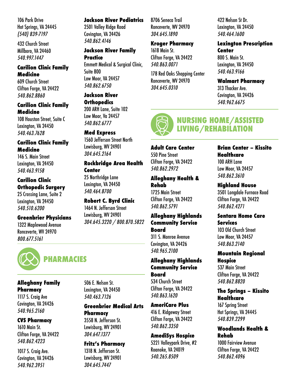106 Park Drive Hot Springs, VA 24445 (540) 839-7197

432 Church Street Millboro, VA 24460 540.997.1447

#### **Carilion Clinic Family Medicine**

609 Church Street Clifton Forge, VA 24422 540.862.8860

#### **Carilion Clinic Family Medicine**

108 Houston Street, Suite C Lexington, VA 24450 540.463.7628

#### **Carilion Clinic Family Medicine**

146 S. Main Street Lexington, VA 24450 540.463.9158

#### **Carilion Clinic Orthopedic Surgery**

25 Crossing Lane, Suite 2 Lexington, VA 24450 540.510.6200

#### **Greenbrier Physicians**

1322 Maplewood Avenue Ronceverte, WV 24970 800.677.5161



## **PHARMACIES**

#### **Alleghany Family Pharmacy**

1117 S. Craig Ave Covington, VA 24426 540.965.2160

#### **CVS Pharmacy**

1610 Main St. Clifton Forge, VA 24422 540.862.4223

1017 S. Craig Ave. Covington, VA 24426 540.962.3951

#### **Jackson River Pediatrics**

2501 Valley Ridge Road Covington, VA 24426 540.862.4146

#### **Jackson River Family Practice**

Emmett Medical & Surgical Clinic, Suite 800 Low Moor, VA 24457 540.862.6750

#### **Jackson River**

**Orthopedics** 200 ARH Lane, Suite 102 Low Moor, Va 24457 540.862.6777

#### **Med Express**

1560 Jefferson Street North Lewisburg, WV 24901 304.645.2164

#### **Rockbridge Area Health Center**

25 Northridge Lane Lexington, VA 24450 540.464.8700

#### **Robert C. Byrd Clinic** 1464 N. Jefferson Street Lewisburg, WV 24901 304.645.3220 / 800.870.5822

8706 Seneca Trail Ronceverte, WV 24970 304.645.1890

#### **Kroger Pharmacy**

1618 Main St. Clifton Forge, VA 24422 540.863.0071

178 Red Oaks Shopping Center Ronceverte, WV 24970 304.645.0310

#### 422 Nelson St Dr. Lexington, VA 24450 540.464.1600

#### **Lexington Prescription Center**

800 S. Main St. Lexington, VA 24450 540.463.9166

#### **Walmart Pharmacy**

313 Thacker Ave. Covington, VA 24426 540.962.6675

#### **NURSING HOME/ASSISTED LIVING/REHABILATION**

**Adult Care Center** 550 Pine Street Clifton Forge, VA 24422 540.862.2972

#### **Alleghany Health & Rehab**

1725 Main Street Clifton Forge, VA 24422 540.862.5791

#### **Alleghany Highlands Community Service Board**

311 S. Monroe Avenue Covington, VA 24426 540.965.2100

#### **Alleghany Highlands Community Service Board**

534 Church Street Clifton Forge, VA 24422 540.863.1620

#### **AmeriCare Plus**

416 E. Ridgeway Street Clifton Forge, VA 24422 540.862.3350

#### **AmediSys Hospice**

5221 Valleypark Drive, #2 Roanoke, VA 24019 540.265.8509

#### **Brian Center – Kissito Healthcare**

100 ARH Lane Low Moor, VA 24457 540.862.3610

#### **Highland House**

3501 Longdale Furnace Road Clifton Forge, VA 24422 540.862.4271

#### **Sentara Home Care Services**

103 Old Church Street Low Moor, VA 24457 540.863.2140

#### **Mountain Regional Hospice**

537 Main Street Clifton Forge, VA 24422 540.862.8820

#### **The Springs – Kissito Healthcare**

167 Spring Street Hot Springs, VA 24445 540.839.2299

#### **Woodlands Health & Rehab**

1000 Fairview Avenue Clifton Forge, VA 24422 540.862.4096

#### 506 E. Nelson St. Lexington, VA 24450 540.463.7126

#### **Greenbrier Medical Arts Pharmacy**

3558 N. Jefferson St. Lewisburg, WV 24901 304.647.1377

#### **Fritz's Pharmacy**

1318 N. Jefferson St. Lewisburg, WV 24901 304.645.7447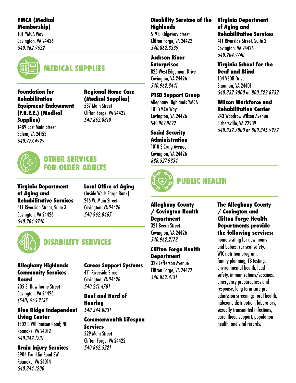#### **YMCA (Medical Membership)**

101 YMCA Way Covington, VA 24426 540.962.9622



## **MEDICAL SUPPLIES**

**Foundation for Rehabilitation Equipment Endowment (F.R.E.E.) (Medical Supplies)**

1489 East Main Street Salem, VA 24153 540.777.4929

#### **Regional Home Care (Medical Supplies)**

537 Main Street Clifton Forge, VA 24422 540.862.8810



#### **OTHER SERVICES FOR OLDER ADULTS**

**Virginia Department of Aging and Rehabilitative Services** 411 Riverside Street, Suite 3 Covington, VA 24426 540.204.9740

**Local Office of Aging** (Inside Wells Fargo Bank) 246 W. Main Street Covington, VA 24426 540.962.0465



## **DISABILITY SERVICES**

#### **Alleghany Highlands Community Services Board**

205 E. Hawthorne Street Covington, VA 24426 (540) 965-2135

#### **Blue Ridge Independent Living Center**

1502 B Williamson Road; NE Roanoke, VA 24012 540.342.1231

#### **Brain Injury Services**

3904 Franklin Road SW Roanoke, VA 24014 540.344.1200

## **Career Support Systems**

411 Riverside Street Covington, VA 24426 540.241.4701

**Deaf and Hard of Hearing** 540.344.0031

#### **Commonwealth Lifespan Services**

529 Main Street Clifton Forge, VA 24422 540.862.5221

#### **Disability Services of the Highlands**

519 E Ridgeway Street Clifton Forge, VA 24422 540.862.3339

#### **Jackson River Enterprises** 825 West Edgemont Drive

Covington, VA 24426 540.962.3441

## **PTSD Support Group**

Alleghany Highlands YMCA 101 YMCA Way Covington, VA 24426 540.962.9622

#### **Social Security Administration**

1010 S Craig Avenue Covington, VA 24426 888.527.9334



## **PUBLIC HEALTH**

#### **Alleghany County / Covington Health Department**

321 Beech Street Covington, VA 24426 540.962.2173

#### **Clifton Forge Health Department**

322 Jefferson Avenue Clifton Forge, VA 24422 540.862.4131

#### **Virginia Department of Aging and Rehabilitative Services**

411 Riverside Street, Suite 3 Covington, VA 24426 540.204.9740

#### **Virginia School for the Deaf and Blind**

104 VSDB Drive Staunton, VA 24401 540.332.9000 or 800.522.8732

#### **Wilson Workforce and Rehabilitation Center**

243 Woodrow Wilson Avenue Fishersville, VA 22939 540.332.7000 or 800.345.9972

#### **The Alleghany County / Covington and Clifton Forge Health Departments provide the following services:**

home visiting for new moms and babies, car seat safety, WIC nutrition program, family planning, TB testing, environmental health, lead safety, immunizations/vaccines, emergency preparedness and response, long term care preadmission screenings, oral health, naloxone distribution, laboratory, sexually transmitted infections, parenthood support, population health, and vital records.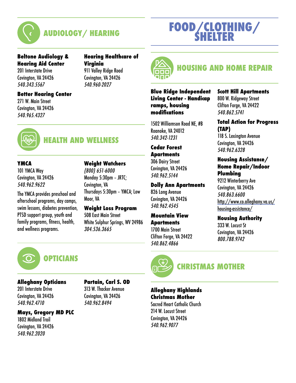

## **AUDIOLOGY/ HEARING**

#### **Beltone Audiology & Hearing Aid Center**

201 Interstate Drive Covington, VA 24426 540.343.5567

## **Hearing Healthcare of Virginia**

911 Valley Ridge Road Covington, VA 24426 540.960-2027

#### **Better Hearing Center**

271 W. Main Street Covington, VA 24426 540.965.4327





## **HEALTH AND WELLNESS**

## **YMCA**

101 YMCA Way Covington, VA 24426 540.962.9622

The YMCA provides preschool and afterschool programs, day camps, swim lessons, diabetes prevention, PTSD support group, youth and family programs, fitness, health, and wellness programs.

#### **Weight Watchers**

(800) 651-6000 Monday 5:30pm – JRTC; Covington, VA Thursdays 5:30pm – YMCA; Low Moor, VA

**Weight Loss Program** 508 East Main Street White Sulphur Springs, WV 24986 304.536.3665



#### **Alleghany Opticians**

201 Interstate Drive Covington, VA 24426 540.962.4710

#### **Mays, Gregory MD PLC**

1802 Midland Trail Covington, VA 24426 540.962.2020

#### **Partain, Carl S. OD** 313 W. Thacker Avenue Covington, VA 24426 540.962.8494



## **HOUSING AND HOME REPAIR**

**FOOD/CLOTHING/ SHELTER**

#### **Blue Ridge Independent Living Center - Handicap ramps, housing modifications**

1502 Williamson Road NE, #B Roanoke, VA 24012 540.342-1231

#### **Cedar Forest Apartments**

306 Dairy Street Covington, VA 24426 540.962.5144

#### **Dolly Ann Apartments**

826 Long Avenue Covington, VA 24426 540.962.4545

#### **Mountain View**

**Apartments**

1700 Main Street Clifton Forge, VA 24422 540.862.4866



## **CHRISTMAS MOTHER**

**Alleghany Highlands Christmas Mother** Sacred Heart Catholic Church 214 W. Locust Street

Covington, VA 24426 540.962.9077

#### **Scott Hill Apartments**

800 W. Ridgeway Street Clifton Forge, VA 24422 540.862.5741

#### **Total Action for Progress (TAP)**

118 S. Lexington Avenue Covington, VA 24426 540.962.6328

## **Housing Assistance/ Home Repair/Indoor**

[http://www.co.alleghany.va.us/](http://www.co.alleghany.va.us/housing-assistance/) [housing-assistance/](http://www.co.alleghany.va.us/housing-assistance/)

#### **Housing Authority**

333 W. Locust St Covington, VA 24426 800.788.9742

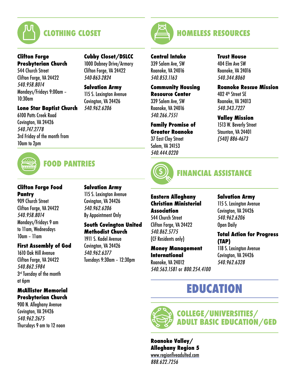

#### **Clifton Forge Presbyterian Church**

544 Church Street Clifton Forge, VA 24422 540.958.8014 Mondays/Fridays 9:00am – 10:30am

#### **Lone Star Baptist Church**

**FOOD PANTRIES**

6100 Potts Creek Road Covington, VA 24426 540.747.2778 3rd Friday of the month from 10am to 2pm



1000 Dabney Drive/Armory Clifton Forge, VA 24422 540-863-2824

**Salvation Army** 115 S. Lexington Avenue Covington, VA 24426 540.962.6206

## **HOMELESS RESOURCES**

#### **Central Intake**

339 Salem Ave, SW Roanoke, VA 24016 540.853.1163

#### **Community Housing Resource Center**

339 Salem Ave, SW Roanoke, VA 24016 540.266.7551

#### **Family Promise of**

**Greater Roanoke** 37 East Clay Street Salem, VA 24153 540.444.0220



## **FINANCIAL ASSISTANCE**

#### **Eastern Alleghany Christian Ministerial Association**

544 Church Street Clifton Forge, VA 24422 540.862.5775 (CF Residents only)

**Money Management International** Roanoke, VA 24012 540.563.1581 or 800.254.4100

#### **Trust House** 404 Elm Ave SW Roanoke, VA 24016 540.344.8060

#### **Roanoke Rescue Mission** 402 4th Street SE Roanoke, VA 24013 540.343.7227

**Valley Mission** 1513 W. Beverly Street Staunton, VA 24401 (540) 886-4673

## **Clifton Forge Food Pantry**

909 Church Street Clifton Forge, VA 24422 540.958.8014 Mondays/Fridays 9 am to 11am, Wednesdays 10am – 11am

#### **First Assembly of God**

1610 Oak Hill Avenue Clifton Forge, VA 24422 540.862.5984 3<sup>rd</sup> Tuesday of the month at 6pm

#### **McAllister Memorial Presbyterian Church**

900 N. Alleghany Avenue Covington, VA 24426 540.962.2675 Thursdays 9 am to 12 noon **Salvation Army** 115 S. Lexington Avenue Covington, VA 24426 540.962.6206 By Appointment Only

#### **South Covington United Methodist Church**

1911 S. Kadel Avenue Covington, VA 24426 540.962.6377 Tuesdays 9:30am – 12:30pm

**Salvation Army** 115 S. Lexington Avenue Covington, VA 24426 540.962.6206

## Open Daily

#### **Total Action for Progress (TAP)**

118 S. Lexington Avenue Covington, VA 24426 540.962.6328

## **EDUCATION**



**Roanoke Valley/ Alleghany Region 5** [www.regionfiveadulted.com](http://www.regionfiveadulted.com) 888.622.7256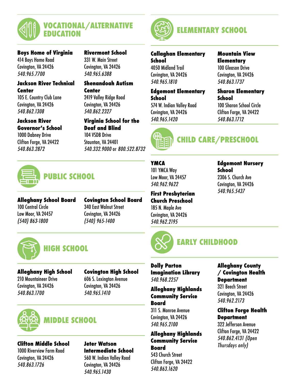

**Boys Home of Virginia** 414 Boys Home Road Covington, VA 24426 540.965.7700

#### **Rivermont School** 331 W. Main Street Covington, VA 24426

#### **Jackson River Technical Center**

105 E. Country Club Lane Covington, VA 24426 540.862.1308

#### **Jackson River Governor's School**

1000 Dabney Drive Clifton Forge, VA 24422 540.863.2872

540.965.6388

#### **Shenandoah Autism Center**

2419 Valley Ridge Road Covington, VA 24426 540.862.2327

#### **Virginia School for the Deaf and Blind**

104 VSDB Drive Staunton, VA 24401 540.332.9000 or 800.522.8732



## **PUBLIC SCHOOL**

**Alleghany School Board** 100 Central Circle Low Moor, VA 24457 (540) 863-1800

**Covington School Board** 340 East Walnut Street Covington, VA 24426 (540) 965-1400



## **HIGH SCHOOL**

#### **Alleghany High School**

210 Mountaineer Drive Covington, VA 24426 540.863.1700

**Covington High School** 606 S. Lexington Avenue Covington, VA 24426 540.965.1410



#### **Clifton Middle School**

1000 Riverview Farm Road Covington, VA 24426 540.863.1726

#### **Jeter Watson Intermediate School** 560 W. Indian Valley Road Covington, VA 24426

540.965.1430



## **ELEMENTARY SCHOOL**

#### **Callaghan Elementary School**

4050 Midland Trail Covington, VA 24426 540.965.1810

#### **Edgemont Elementary School**

574 W. Indian Valley Road Covington, VA 24426 540.965.1420



## **CHILD CARE/PRESCHOOL**

**School**

#### **YMCA** 101 YMCA Way Low Moor, VA 24457 540.962.9622

**First Presbyterian Church Preschool** 185 N. Maple Ave Covington, VA 24426 540.962.2195



**Dolly Parton Imagination Library** 540.968.2257

#### **Alleghany Highlands Community Service Board**

311 S. Monroe Avenue Covington, VA 24426 540.965.2100

#### **Alleghany Highlands Community Service Board**

543 Church Street Clifton Forge, VA 24422 540.863.1620

## 540.863.1712

**Sharon Elementary** 

100 Sharon School Circle Clifton Forge, VA 24422

**Mountain View Elementary**  100 Gleason Drive Covington, VA 24426 540.863.1737

**Edgemont Nursery School** 2306 S. Church Ave Covington, VA 24426 540.965.5437

#### **Alleghany County / Covington Health Department**

321 Beech Street Covington, VA 24426 540.962.2173

#### **Clifton Forge Health Department**

322 Jefferson Avenue Clifton Forge, VA 24422 540.862.4131 (Open Thursdays only)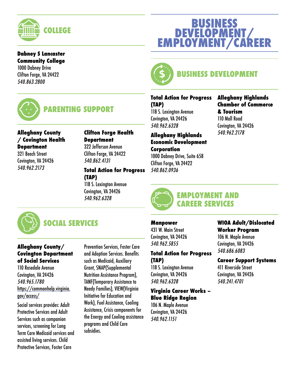

#### **Dabney S Lancaster Community College**

1000 Dabney Drive Clifton Forge, VA 24422 540.863.2800



## **PARENTING SUPPORT**

#### **Alleghany County / Covington Health Department**

321 Beech Street Covington, VA 24426 540.962.2173

**Clifton Forge Health Department** 322 Jefferson Avenue Clifton Forge, VA 24422 540.862.4131

#### **Total Action for Progress (TAP)**

118 S. Lexington Avenue Covington, VA 24426 540.962.6328



## **SOCIAL SERVICES**

#### **Alleghany County/ Covington Department of Social Services**

110 Rosedale Avenue Covington, VA 24426 540.965.1780 [https://commonhelp.virginia.](https://commonhelp.virginia.gov/access/) [gov/access/](https://commonhelp.virginia.gov/access/)

Social services provides: Adult Protective Services and Adult Services such as companion services, screening for Long Term Care Medicaid services and assisted living services. Child Protective Services, Foster Care

Prevention Services, Foster Care and Adoption Services. Benefits such as Medicaid, Auxiliary Grant, SNAP(Supplemental Nutrition Assistance Program), TANF(Temporary Assistance to Needy Families), VIEW(Virginia Initiative for Education and Work), Fuel Assistance, Cooling Assistance, Crisis components for the Energy and Cooling assistance programs and Child Care subsidies.

# **BUSINESS DEVELOPMENT/ EMPLOYMENT/CAREER**



## **BUSINESS DEVELOPMENT**

#### **Total Action for Progress (TAP)**

118 S. Lexington Avenue Covington, VA 24426 540.962.6328

**Alleghany Highlands Economic Development Corporation** 1000 Dabney Drive, Suite 658

Clifton Forge, VA 24422 540.862.0936

#### **Alleghany Highlands Chamber of Commerce & Tourism** 110 Mall Road Covington, VA 24426 540.962.2178



#### **EMPLOYMENT AND CAREER SERVICES**

#### **Manpower**

431 W. Main Street Covington, VA 24426 540.962.5855

#### **Total Action for Progress (TAP)**

118 S. Lexington Avenue Covington, VA 24426 540.962.6328

#### **Virginia Career Works – Blue Ridge Region**

106 N. Maple Avenue Covington, VA 24426 540.962.1151

#### **WIOA Adult/Dislocated Worker Program**

106 N. Maple Avenue Covington, VA 24426 540.686.6083

#### **Career Support Systems**

411 Riverside Street Covington, VA 24426 540.241.4701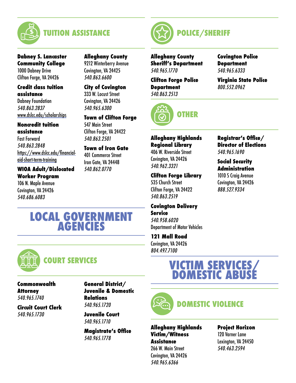

**Dabney S. Lancaster Community College** 1000 Dabney Drive Clifton Forge, VA 24426

#### **Credit class tuition assistance**

Dabney Foundation 540.863.2837 [www.dslcc.edu/scholarships](http://www.dslcc.edu/scholarships)

#### **Noncredit tuition assistance**

Fast Forward 540.863.2848 [https://www.dslcc.edu/financial](https://www.dslcc.edu/financial-aid-short-term-training)[aid-short-term-training](https://www.dslcc.edu/financial-aid-short-term-training)

#### **WIOA Adult/Dislocated Worker Program**

106 N. Maple Avenue Covington, VA 24426 540.686.6083

**Alleghany County** 9212 Winterberry Avenue Covington, VA 24425 540.863.6600

#### **City of Covington** 333 W. Locust Street Covington, VA 24426 540.965.6300

**Town of Clifton Forge** 547 Main Street Clifton Forge, VA 24422 540.863.2501

## **Town of Iron Gate**

401 Commerce Street Iron Gate, VA 24448 540.862.0770

## **LOCAL GOVERNMENT AGENCIES**



## **COURT SERVICES**

**Commonwealth Attorney** 540.965.1740

**Circuit Court Clerk** 540.965.1730

**General District/ Juvenile & Domestic Relations** 540.965.1720

**Juvenile Court** 540.965.1710

**Magistrate's Office** 540.965.1778



**Alleghany County Sheriff's Department** 540.965.1770

**Clifton Forge Police Department** 540.863.2513



#### **Covington Police Department** 540.965.6333

**Virginia State Police** 800.552.0962

**Alleghany Highlands Regional Library** 406 W. Riverside Street Covington, VA 24426 540.962.3321

**Clifton Forge Library** 535 Church Street Clifton Forge, VA 24422 540.863.2519

#### **Covington Delivery Service** 540.958.6020

Department of Motor Vehicles

**121 Mall Road**

Covington, VA 24426 804.497.7100

#### **Registrar's Office/ Director of Elections** 540.965.1690

#### **Social Security Administration**

1010 S Craig Avenue Covington, VA 24426 888.527.9334

## **VICTIM SERVICES/ DOMESTIC ABUSE**

## **DOMESTIC VIOLENCE**

#### **Alleghany Highlands Victim/Witness Assistance**

266 W. Main Street Covington, VA 24426 540.965.6366

**Project Horizon** 120 Varner Lane Lexington, VA 24450 540.463.2594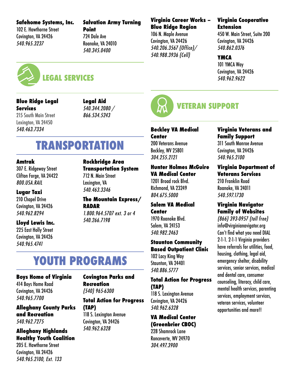#### **Safehome Systems, Inc.**

102 E. Hawthorne Street Covington, VA 24426 540.965.3237

**Salvation Army Turning Point** 724 Dale Ave Roanoke, VA 24010

#### **Virginia Career Works – Blue Ridge Region**

106 N. Maple Avenue Covington, VA 24426 540.206.3567 (Office)/ 540.988.3936 (Cell)

#### **Virginia Cooperative Extension**

450 W. Main Street, Suite 200 Covington, VA 24426 540.862.0376

#### **YMCA**

101 YMCA Way Covington, VA 24426 540.962.9622



## **LEGAL SERVICES**

**Blue Ridge Legal Services** 215 South Main Street

Lexington, VA 24450 540.463.7334

**Legal Aid** 540.344.2080 / 866.534.5243

540.463.3346

540.345.0400

## **TRANSPORTATION**

#### **Amtrak**

307 E. Ridgeway Street Clifton Forge, VA 24422 800.USA.RAIL

#### **Lugar Taxi**

210 Chapel Drive Covington, VA 24426 540.962.8294

#### **Lloyd Lewis Inc.**

225 East Holly Street Covington, VA 24426 540.965.4741

**Rockbridge Area Transportation System** 712 N. Main Street Lexington, VA

**The Mountain Express/ RADAR** 1.800.964.5707 ext. 3 or 4 540.266.7198

## **YOUTH PROGRAMS**

#### **Boys Home of Virginia**

414 Boys Home Road Covington, VA 24426 540.965.7700

#### **Alleghany County Parks and Recreation** 540.962.7275

**Alleghany Highlands Healthy Youth Coalition**

205 E. Hawthorne Street Covington, VA 24426 540.965.2100, Ext. 133

#### **Covington Parks and Recreation** (540) 965-6300

**Total Action for Progress** 

**(TAP)** 118 S. Lexington Avenue

Covington, VA 24426 540.962.6328



## **VETERAN SUPPORT**

**Beckley VA Medical Center** 200 Veterans Avenue Beckley, WV 25801 304.255.2121

#### **Hunter Holmes McGuire VA Medical Center**

1201 Broad rock Blvd. Richmond, VA 23249 804.675.5000

#### **Salem VA Medical Center** 1970 Roanoke Blvd.

Salem, VA 24153 540.982.2463

#### **Staunton Community Based Outpatient Clinic**

102 Lacy King Way Staunton, VA 24401 540.886.5777

#### **Total Action for Progress (TAP)**

118 S. Lexington Avenue Covington, VA 24426 540.962.6328

#### **VA Medical Center (Greenbrier CBOC)**

228 Shamrock Lane Ronceverte, WV 24970 304.497.3900

#### **Virginia Veterans and Family Support**

311 South Monroe Avenue Covington, VA 24426 540.965.2100

#### **Virginia Department of Veterans Services**

210 Franklin Road Roanoke, VA 24011 540.597.1730

#### **Virginia Navigator Family of Websites**

(866) 393-0957 (toll free) info@virginianavigator.org Can't find what you need DIAL 2-1-1. 2-1-1 Virginia providers have referrals for utilities, food, housing, clothing, legal aid, emergency shelter, disability services, senior services, medical and dental care, consumer counseling, literacy, child care, mental health services, parenting services, employment services, veteran services, volunteer opportunities and more!!